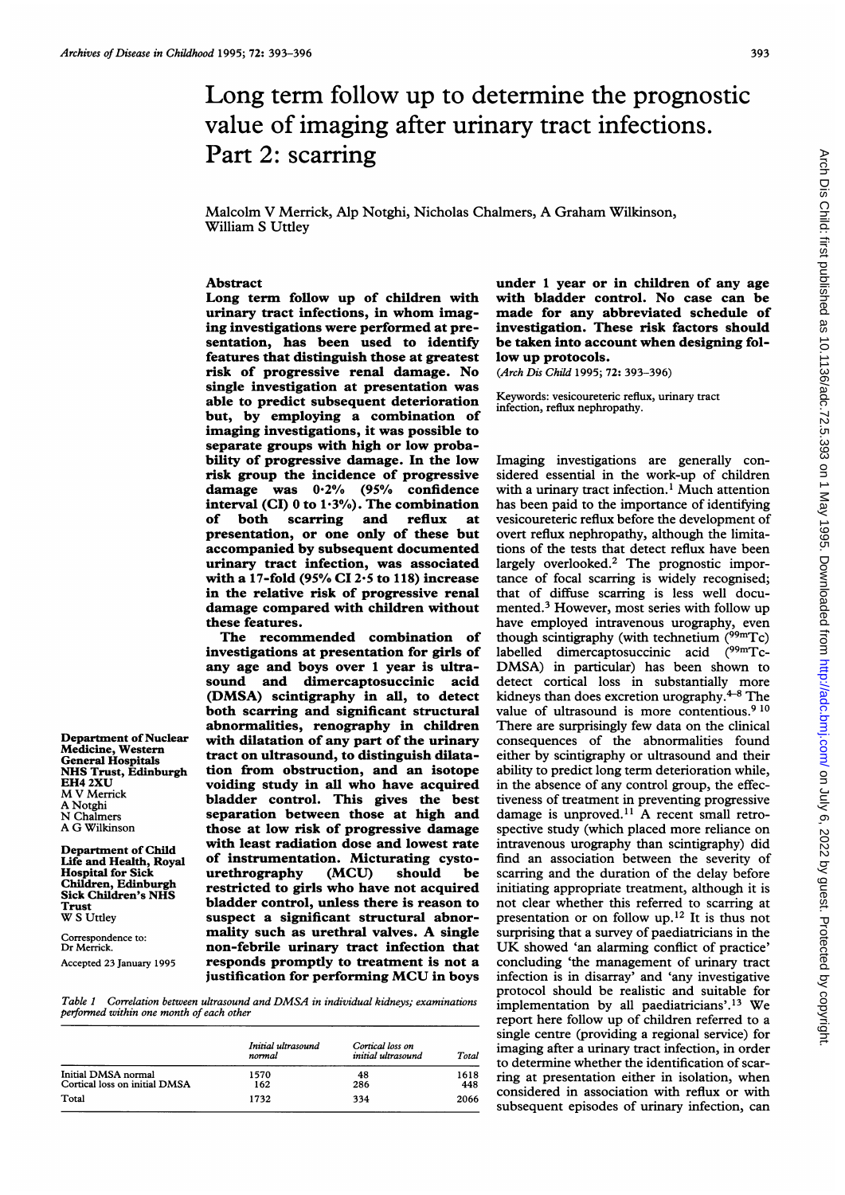## 393

# Long term follow up to determine the prognostic value of imaging after urinary tract infections. under <sup>1</sup> year or in children of any age with bladder control. No case can be made for any abbreviated schedule of investigation. These risk factors should be taken into account when designing follow up protocols. (Arch Dis Child 1995; 72: 393-396) Keywords: vesicoureteric reflux, urinary tract infection, reflux nephropathy. Imaging investigations are generally considered essential in the work-up of children with a urinary tract infection.<sup>1</sup> Much attention has been paid to the importance of identifying

vesicoureteric reflux before the development of overt reflux nephropathy, although the limitations of the tests that detect reflux have been largely overlooked.2 The prognostic importance of focal scarring is widely recognised; that of diffuse scarring is less well documented.<sup>3</sup> However, most series with follow up have employed intravenous urography, even though scintigraphy (with technetium  $(99<sup>cm</sup>Tc)$ ) labelled dimercaptosuccinic acid (99mTc-DMSA) in particular) has been shown to detect cortical loss in substantially more kidneys than does excretion urography.<sup>4-8</sup> The value of ultrasound is more contentious.<sup>9 10</sup> There are surprisingly few data on the clinical consequences of the abnormalities found either by scintigraphy or ultrasound and their ability to predict long term deterioration while, in the absence of any control group, the effectiveness of treatment in preventing progressive damage is unproved.<sup>11</sup> A recent small retrospective study (which placed more reliance on intravenous urography than scintigraphy) did find an association between the severity of scarring and the duration of the delay before initiating appropriate treatment, although it is not clear whether this referred to scarring at presentation or on follow up.12 It is thus not surprising that a survey of paediatricians in the UK showed 'an alarming conflict of practice' concluding 'the management of urinary tract infection is in disarray' and 'any investigative protocol should be realistic and suitable for implementation by all paediatricians'.<sup>13</sup> We report here follow up of children referred to a single centre (providing a regional service) for imaging after a urinary tract infection, in order to determine whether the identification of scarring at presentation either in isolation, when considered in association with reflux or with

subsequent episodes of urinary infection, can

Malcolm V Merrick, Alp Notghi, Nicholas Chalmers, A Graham Wilkinson, William S Uttley

### Abstract

Part 2: scarring

Long term follow up of children with urinary tract infections, in whom imaging investigations were performed at presentation, has been used to identify features that distinguish those at greatest risk of progressive renal damage. No single investigation at presentation was able to predict subsequent deterioration but, by employing a combination of imaging investigations, it was possible to separate groups with high or low probability of progressive damage. In the low risk group the incidence of progressive damage was 0.2% (95% confidence interval (CI) 0 to  $1.3\%$ ). The combination<br>of both scarring and reflux at of both scarring and reflux at presentation, or one only of these but accompanied by subsequent documented urinary tract infection, was associated with a 17-fold  $(95% CI 2.5$  to 118) increase in the relative risk of progressive renal damage compared with children without these features.

The recommended combination of investigations at presentation for girls of any age and boys over <sup>1</sup> year is ultrasound and dimercaptosuccinic (DMSA) scintigraphy in all, to detect both scarring and significant structural abnormalities, renography in children with dilatation of any part of the urinary tract on ultrasound, to distinguish dilatation from obstruction, and an isotope voiding study in all who have acquired bladder control. This gives the best separation between those at high and those at low risk of progressive damage with least radiation dose and lowest rate of instrumentation. Micturating cystourethrography (MCU) should be restricted to girls who have not acquired bladder control, unless there is reason to suspect a significant structural abnormality such as urethral valves. A single non-febrile urinary tract infection that responds promptly to treatment is not a justification for performing MCU in boys

Department of Nuclear Medicine, Western General Hospitals NHS Trust, Edinburgh EH4 2XU M V Merrick A Notghi N Chalmers A G Wilkinson

Department of Child Life and Health, Royal Hospital for Sick Children, Edinburgh Sick Children's NHS Trust W S Uttlev

Correspondence to: Dr Merrick. Accepted 23 January 1995

Table <sup>1</sup> Correlation between ultrasound and DMSA in individual kidneys; examinations performed within one month of each other

|                               | Initial ultrasound<br>normal | Cortical loss on<br>initial ultrasound | Total |
|-------------------------------|------------------------------|----------------------------------------|-------|
| Initial DMSA normal           | 1570                         | 48                                     | 1618  |
| Cortical loss on initial DMSA | 162                          | 286                                    | 448   |
| Total                         | 1732                         | 334                                    | 2066  |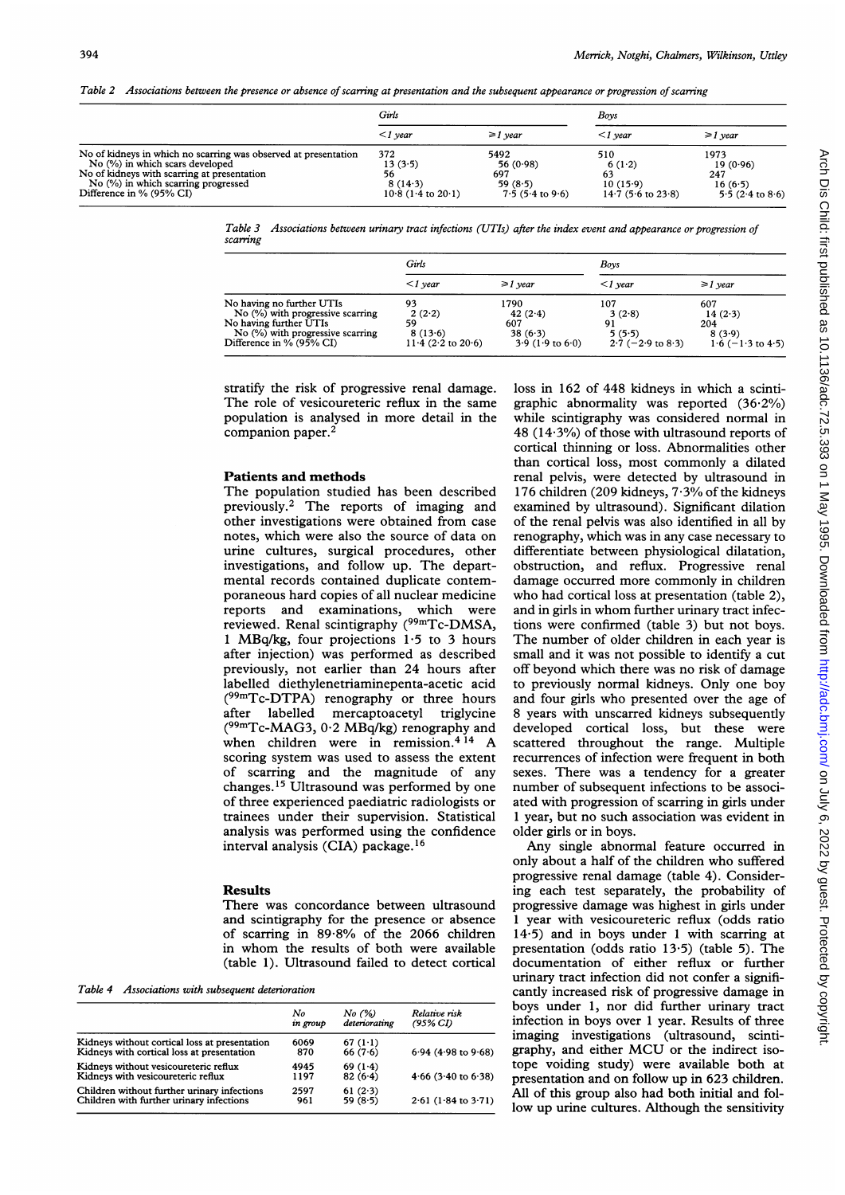Table 2 Associations between the presence or absence of scarring at presentation and the subsequent appearance or progression of scarring

|                                                                                                                                                                                                                      | Girls                                                             |                                                                     | Bovs                                                    |                                                                   |
|----------------------------------------------------------------------------------------------------------------------------------------------------------------------------------------------------------------------|-------------------------------------------------------------------|---------------------------------------------------------------------|---------------------------------------------------------|-------------------------------------------------------------------|
|                                                                                                                                                                                                                      | $\langle$ 1 year                                                  | $\geq 1$ year                                                       | $\langle$ 1 vear                                        | $\geq 1$ year                                                     |
| No of kidneys in which no scarring was observed at presentation<br>No (%) in which scars developed<br>No of kidneys with scarring at presentation<br>No (%) in which scarring progressed<br>Difference in % (95% CI) | 372<br>13(3.5)<br>56<br>$8(14-3)$<br>$10.8(1.4 \text{ to } 20.1)$ | 5492<br>56 $(0.98)$<br>697<br>59(8.5)<br>$7.5(5.4 \text{ to } 9.6)$ | 510<br>6(1.2)<br>63<br>10(15.9)<br>$14.7$ (5.6 to 23.8) | 1973<br>19(0.96)<br>247<br>16(6.5)<br>5.5 $(2.4 \text{ to } 8.6)$ |

Table 3 Associations between urinary tract infections (UTIs) after the index event and appearance or progression of scaring

|                                                                                                                                                              | Girls                                                 |                                                                    | Bovs                                                 |                                                              |
|--------------------------------------------------------------------------------------------------------------------------------------------------------------|-------------------------------------------------------|--------------------------------------------------------------------|------------------------------------------------------|--------------------------------------------------------------|
|                                                                                                                                                              | $\langle$ 1 year                                      | $\geq l$ vear                                                      | $\langle$ 1 year                                     | $\geq 1$ year                                                |
| No having no further UTIs<br>No $(\%)$ with progressive scarring<br>No having further UTIs<br>$No$ (%) with progressive scarring<br>Difference in % (95% CI) | 93<br>2(2.2)<br>59<br>8(13.6)<br>$11.4$ (2.2 to 20.6) | 1790<br>42 $(2.4)$<br>607<br>38(6.3)<br>$3.9(1.9 \text{ to } 6.0)$ | 107<br>3(2.8)<br>91<br>5(5.5)<br>$2.7$ (-2.9 to 8.3) | 607<br>14(2.3)<br>204<br>8(3.9)<br>$1.6$ ( $-1.3$ to $4.5$ ) |

stratify the risk of progressive renal damage. The role of vesicoureteric reflux in the same population is analysed in more detail in the companion paper.2

#### Patients and methods

The population studied has been described previously.2 The reports of imaging and other investigations were obtained from case notes, which were also the source of data on urine cultures, surgical procedures, other investigations, and follow up. The departmental records contained duplicate contemporaneous hard copies of all nuclear medicine reports and examinations, which were reviewed. Renal scintigraphy (99mTc-DMSA, <sup>1</sup> MBq/kg, four projections 1-5 to 3 hours after injection) was performed as described previously, not earlier than 24 hours after labelled diethylenetriaminepenta-acetic acid (99mTc-DTPA) renography or three hours after labelled mercaptoacetyl triglycine (99mTc-MAG3, 0-2 MBq/kg) renography and when children were in remission.4 <sup>14</sup> A scoring system was used to assess the extent of scarring and the magnitude of any changes.15 Ultrasound was performed by one of three experienced paediatric radiologists or trainees under their supervision. Statistical analysis was performed using the confidence interval analysis (CIA) package.16

### Results

There was concordance between ultrasound and scintigraphy for the presence or absence of scarring in 89-8% of the 2066 children in whom the results of both were available (table 1). Ultrasound failed to detect cortical

Table 4 Associations with subsequent deterioration

|                                               | No       | No (%)           | Relative risk         |
|-----------------------------------------------|----------|------------------|-----------------------|
|                                               | in group | deteriorating    | (95% CI)              |
| Kidneys without cortical loss at presentation | 6069     | 67 $(1 \cdot 1)$ | $6.94$ (4.98 to 9.68) |
| Kidneys with cortical loss at presentation    | 870      | 66(7.6)          |                       |
| Kidneys without vesicoureteric reflux         | 4945     | 69 $(1.4)$       | $4.66$ (3.40 to 6.38) |
| Kidneys with vesicoureteric reflux            | 1197     | 82(6.4)          |                       |
| Children without further urinary infections   | 2597     | 61(2.3)          | $2.61$ (1.84 to 3.71) |
| Children with further urinary infections      | 961      | 59(8.5)          |                       |

loss in 162 of 448 kidneys in which a scintigraphic abnormality was reported (36-2%) while scintigraphy was considered normal in 48 (14 $-3\%$ ) of those with ultrasound reports of cortical thinning or loss. Abnormalities other than cortical loss, most commonly a dilated renal pelvis, were detected by ultrasound in 176 children (209 kidneys,  $7.3\%$  of the kidneys examined by ultrasound). Significant dilation of the renal pelvis was also identified in all by renography, which was in any case necessary to differentiate between physiological dilatation, obstruction, and reflux. Progressive renal damage occurred more commonly in children who had cortical loss at presentation (table 2), and in girls in whom further urinary tract infections were confirmed (table 3) but not boys. The number of older children in each year is small and it was not possible to identify a cut off beyond which there was no risk of damage to previously normal kidneys. Only one boy and four girls who presented over the age of 8 years with unscarred kidneys subsequently developed cortical loss, but these were scattered throughout the range. Multiple recurrences of infection were frequent in both sexes. There was a tendency for a greater number of subsequent infections to be associated with progression of scarring in girls under <sup>1</sup> year, but no such association was evident in older girls or in boys.

Any single abnormal feature occurred in only about a half of the children who suffered progressive renal damage (table 4). Considering each test separately, the probability of progressive damage was highest in girls under <sup>1</sup> year with vesicoureteric reflux (odds ratio 14-5) and in boys under <sup>1</sup> with scarring at presentation (odds ratio 13-5) (table 5). The documentation of either reflux or further urinary tract infection did not confer a significantly increased risk of progressive damage in boys under 1, nor did further urinary tract infection in boys over <sup>1</sup> year. Results of three imaging investigations (ultrasound, scintigraphy, and either MCU or the indirect isotope voiding study) were available both at presentation and on follow up in 623 children. All of this group also had both initial and follow up urine cultures. Although the sensitivity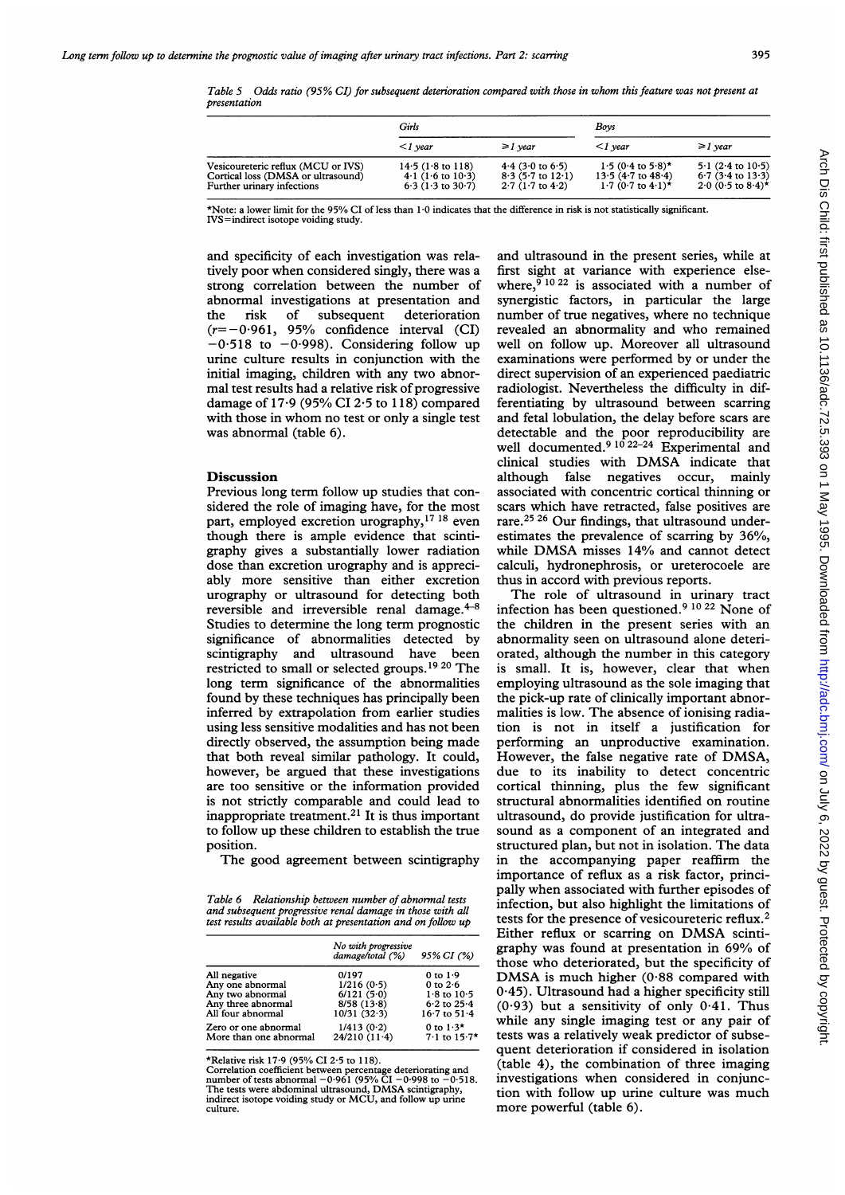Table 5 Odds ratio (95% CI) for subsequent deterioration compared with those in whom this feature was not present at presentation

|                                                                                                        | Girls                                                                             |                                                                         | Boys                                                                                         |                                                                            |
|--------------------------------------------------------------------------------------------------------|-----------------------------------------------------------------------------------|-------------------------------------------------------------------------|----------------------------------------------------------------------------------------------|----------------------------------------------------------------------------|
|                                                                                                        | $\langle$ 1 vear                                                                  | $\geq l$ vear                                                           | $\langle$ 1 year                                                                             | $\geq l$ year                                                              |
| Vesicoureteric reflux (MCU or IVS)<br>Cortical loss (DMSA or ultrasound)<br>Further urinary infections | $14.5$ (1.8 to 118)<br>$4.1(1.6 \text{ to } 10.3)$<br>$6.3(1.3 \text{ to } 30.7)$ | $4.4$ (3.0 to 6.5)<br>$8.3$ (5.7 to 12.1)<br>$2.7(1.7 \text{ to } 4.2)$ | $1.5(0.4 \text{ to } 5.8)$ *<br>$13.5(4.7 \text{ to } 48.4)$<br>$1.7(0.7 \text{ to } 4.1)$ * | $5.1$ (2.4 to 10.5)<br>$6.7$ (3.4 to 13.3)<br>$2.0(0.5 \text{ to } 8.4)$ * |

\*Note: <sup>a</sup> lower limit for the 95% CI of less than 10 indicates that the difference in risk is not statistically significant. IVS=indirect isotope voiding study.

and specificity of each investigation was relatively poor when considered singly, there was a strong correlation between the number of abnormal investigations at presentation and the risk of subsequent deterioration  $(r=-0.961, 95%$  confidence interval (CI)  $-0.518$  to  $-0.998$ ). Considering follow up urine culture results in conjunction with the initial imaging, children with any two abnormal test results had a relative risk of progressive damage of 17-9 (95% CI 2-5 to 118) compared with those in whom no test or only <sup>a</sup> single test was abnormal (table 6).

#### **Discussion**

Previous long term follow up studies that considered the role of imaging have, for the most part, employed excretion urography,<sup>17 18</sup> even though there is ample evidence that scintigraphy gives a substantially lower radiation dose than excretion urography and is appreciably more sensitive than either excretion urography or ultrasound for detecting both reversible and irreversible renal damage. $4-8$ Studies to determine the long term prognostic significance of abnormalities detected by scintigraphy and ultrasound have been restricted to small or selected groups.19 <sup>20</sup> The long term significance of the abnormalities found by these techniques has principally been inferred by extrapolation from earlier studies using less sensitive modalities and has not been directly observed, the assumption being made that both reveal similar pathology. It could, however, be argued that these investigations are too sensitive or the information provided is not strictly comparable and could lead to inappropriate treatment.21 It is thus important to follow up these children to establish the true position.

The good agreement between scintigraphy

Table 6 Relationship between number of abnormal tests and subsequent progressive renal damage in those with all test results available both at presentation and on follow up

|                                                | No with progressive<br>damage/total (%) | 95% CI (%)                      |
|------------------------------------------------|-----------------------------------------|---------------------------------|
| All negative                                   | 0/197                                   | $0$ to $1.9$                    |
| Any one abnormal                               | 1/216(0.5)                              | $0$ to $2.6$                    |
| Any two abnormal                               | 6/121(5.0)                              | $1.8$ to $10.5$                 |
| Any three abnormal                             | 8/58(13.8)                              | $6.2$ to $25.4$                 |
| All four abnormal                              | 10/31(32.3)                             | $16.7$ to $51.4$                |
| Zero or one abnormal<br>More than one abnormal | 1/413(0.2)<br>$24/210(11-4)$            | 0 to $1.3*$<br>$7.1$ to $15.7*$ |

\*Relative risk 17-9 (95% CI 2-5 to 118).

Correlation coefficient between percentage deteriorating and number of tests abnormal -0-961 (95% CI -0-998 to -0-518. The tests were abdominal ultrasound, DMSA scintigraphy, indirect isotope voiding study or MCU, and follow up urine culture.

and ultrasound in the present series, while at first sight at variance with experience elsewhere,  $9\overline{1022}$  is associated with a number of synergistic factors, in particular the large number of true negatives, where no technique revealed an abnormality and who remained well on follow up. Moreover all ultrasound examinations were performed by or under the direct supervision of an experienced paediatric radiologist. Nevertheless the difficulty in differentiating by ultrasound between scarring and fetal lobulation, the delay before scars are detectable and the poor reproducibility are well documented.<sup>9 10 22-24</sup> Experimental and clinical studies with DMSA indicate that although false negatives occur, mainly associated with concentric cortical thinning or scars which have retracted, false positives are rare.<sup>25</sup> <sup>26</sup> Our findings, that ultrasound underestimates the prevalence of scarring by 36%, while DMSA misses 14% and cannot detect calculi, hydronephrosis, or ureterocoele are thus in accord with previous reports.

The role of ultrasound in urinary tract infection has been questioned.9 <sup>10</sup> <sup>22</sup> None of the children in the present series with an abnormality seen on ultrasound alone deteriorated, although the number in this category is small. It is, however, clear that when employing ultrasound as the sole imaging that the pick-up rate of clinically important abnormalities is low. The absence of ionising radiation is not in itself a justification for performing an unproductive examination. However, the false negative rate of DMSA, due to its inability to detect concentric cortical thinning, plus the few significant structural abnormalities identified on routine ultrasound, do provide justification for ultrasound as a component of an integrated and structured plan, but not in isolation. The data in the accompanying paper reaffirm the importance of reflux as a risk factor, principally when associated with further episodes of infection, but also highlight the limitations of tests for the presence of vesicoureteric reflux.2 Either reflux or scarring on DMSA scintigraphy was found at presentation in 69% of those who deteriorated, but the specificity of DMSA is much higher (0.88 compared with 0-45). Ultrasound had a higher specificity still (0.93) but a sensitivity of only 0.41. Thus while any single imaging test or any pair of tests was a relatively weak predictor of subsequent deterioration if considered in isolation (table 4), the combination of three imaging investigations when considered in conjunction with follow up urine culture was much more powerful (table 6).